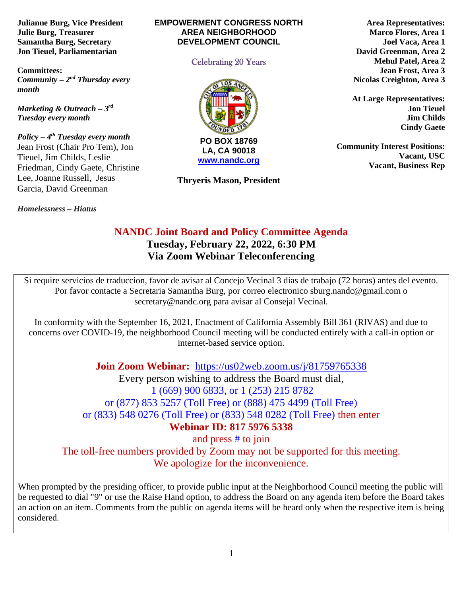**Julianne Burg, Vice President Julie Burg, Treasurer Samantha Burg, Secretary Jon Tieuel, Parliamentarian**

**Committees:**  *Community – 2<sup>nd</sup> Thursday every month* 

*Marketing & Outreach – 3 rd Tuesday every month*

*Policy – 4 th Tuesday every month*  Jean Frost (Chair Pro Tem), Jon Tieuel, Jim Childs, Leslie Friedman, Cindy Gaete, Christine Lee, Joanne Russell, Jesus Garcia, David Greenman

*Homelessness* **–** *Hiatus*

#### **EMPOWERMENT CONGRESS NORTH AREA NEIGHBORHOOD DEVELOPMENT COUNCIL**

#### Celebrating 20 Years



**[www.nandc.org](http://www.nandc.org/)**

**Thryeris Mason, President**

**Area Representatives: Marco Flores, Area 1 Joel Vaca, Area 1 David Greenman, Area 2 Mehul Patel, Area 2 Jean Frost, Area 3 Nicolas Creighton, Area 3**

**At Large Representatives: Jon Tieuel Jim Childs Cindy Gaete**

**Community Interest Positions: Vacant, USC Vacant, Business Rep**

# **NANDC Joint Board and Policy Committee Agenda**

**Tuesday, February 22, 2022, 6:30 PM Via Zoom Webinar Teleconferencing**

Si require servicios de traduccion, favor de avisar al Concejo Vecinal 3 dias de trabajo (72 horas) antes del evento. Por favor contacte a Secretaria Samantha Burg, por correo electronico sburg.nandc@gmail.com o secretary@nandc.org para avisar al Consejal Vecinal.

In conformity with the September 16, 2021, Enactment of California Assembly Bill 361 (RIVAS) and due to concerns over COVID-19, the neighborhood Council meeting will be conducted entirely with a call-in option or internet-based service option.

**Join Zoom Webinar:** <https://us02web.zoom.us/j/81759765338>

Every person wishing to address the Board must dial, 1 (669) 900 6833, or 1 (253) 215 8782 or (877) 853 5257 (Toll Free) or (888) 475 4499 (Toll Free) or (833) 548 0276 (Toll Free) or (833) 548 0282 (Toll Free) then enter **Webinar ID: 817 5976 5338** and press # to join

The toll-free numbers provided by Zoom may not be supported for this meeting. We apologize for the inconvenience.

When prompted by the presiding officer, to provide public input at the Neighborhood Council meeting the public will be requested to dial "9" or use the Raise Hand option, to address the Board on any agenda item before the Board takes an action on an item. Comments from the public on agenda items will be heard only when the respective item is being considered.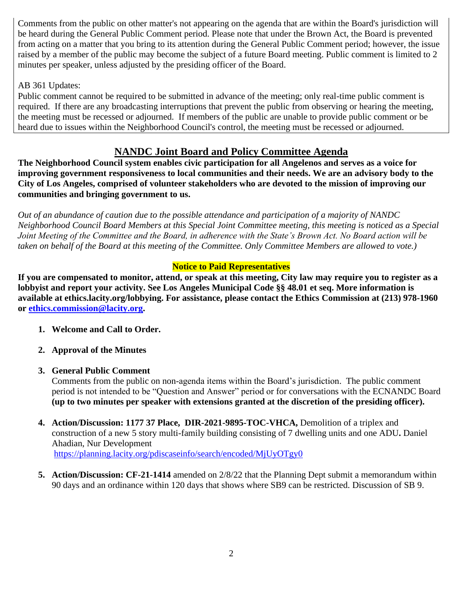Comments from the public on other matter's not appearing on the agenda that are within the Board's jurisdiction will be heard during the General Public Comment period. Please note that under the Brown Act, the Board is prevented from acting on a matter that you bring to its attention during the General Public Comment period; however, the issue raised by a member of the public may become the subject of a future Board meeting. Public comment is limited to 2 minutes per speaker, unless adjusted by the presiding officer of the Board.

### AB 361 Updates:

Public comment cannot be required to be submitted in advance of the meeting; only real-time public comment is required. If there are any broadcasting interruptions that prevent the public from observing or hearing the meeting, the meeting must be recessed or adjourned. If members of the public are unable to provide public comment or be heard due to issues within the Neighborhood Council's control, the meeting must be recessed or adjourned.

## **NANDC Joint Board and Policy Committee Agenda**

**The Neighborhood Council system enables civic participation for all Angelenos and serves as a voice for improving government responsiveness to local communities and their needs. We are an advisory body to the City of Los Angeles, comprised of volunteer stakeholders who are devoted to the mission of improving our communities and bringing government to us.**

*Out of an abundance of caution due to the possible attendance and participation of a majority of NANDC Neighborhood Council Board Members at this Special Joint Committee meeting, this meeting is noticed as a Special Joint Meeting of the Committee and the Board, in adherence with the State's Brown Act. No Board action will be taken on behalf of the Board at this meeting of the Committee. Only Committee Members are allowed to vote.)*

#### **Notice to Paid Representatives**

**If you are compensated to monitor, attend, or speak at this meeting, City law may require you to register as a lobbyist and report your activity. See Los Angeles Municipal Code §§ 48.01 et seq. More information is available at ethics.lacity.org/lobbying. For assistance, please contact the Ethics Commission at (213) 978-1960 or [ethics.commission@lacity.org.](mailto:ethics.commission@lacity.org)**

- **1. Welcome and Call to Order.**
- **2. Approval of the Minutes**

## **3. General Public Comment**

Comments from the public on non-agenda items within the Board's jurisdiction. The public comment period is not intended to be "Question and Answer" period or for conversations with the ECNANDC Board **(up to two minutes per speaker with extensions granted at the discretion of the presiding officer).**

- **4. Action/Discussion: 1177 37 Place, DIR-2021-9895-TOC-VHCA,** Demolition of a triplex and construction of a new 5 story multi-family building consisting of 7 dwelling units and one ADU**.** Daniel Ahadian, Nur Development <https://planning.lacity.org/pdiscaseinfo/search/encoded/MjUyOTgy0>
- **5. Action/Discussion: CF-21-1414** amended on 2/8/22 that the Planning Dept submit a memorandum within 90 days and an ordinance within 120 days that shows where SB9 can be restricted. Discussion of SB 9.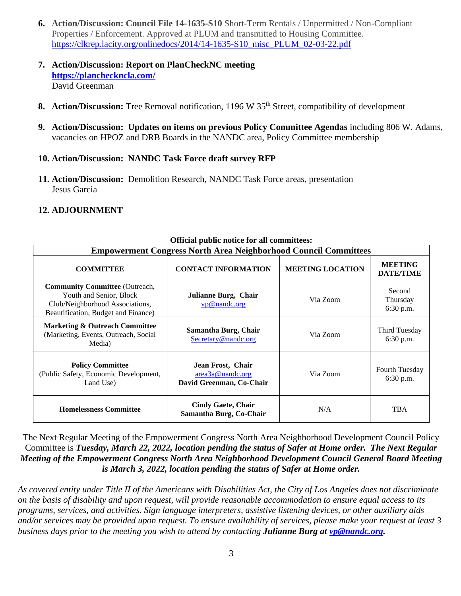- **6. Action/Discussion: Council File 14-1635-S10** Short-Term Rentals / Unpermitted / Non-Compliant Properties / Enforcement. Approved at PLUM and transmitted to Housing Committee. [https://clkrep.lacity.org/onlinedocs/2014/14-1635-S10\\_misc\\_PLUM\\_02-03-22.pdf](https://clkrep.lacity.org/onlinedocs/2014/14-1635-S10_misc_PLUM_02-03-22.pdf)
- **7. Action/Discussion: Report on PlanCheckNC meeting <https://plancheckncla.com/>** David Greenman
- **8. Action/Discussion:** Tree Removal notification, 1196 W 35<sup>th</sup> Street, compatibility of development
- **9. Action/Discussion: Updates on items on previous Policy Committee Agendas** including 806 W. Adams, vacancies on HPOZ and DRB Boards in the NANDC area, Policy Committee membership
- **10. Action/Discussion: NANDC Task Force draft survey RFP**
- **11. Action/Discussion:** Demolition Research, NANDC Task Force areas, presentation Jesus Garcia

#### **12. ADJOURNMENT**

| Official public notice for all committees:                                                                                                 |                                                                   |                         |                                    |
|--------------------------------------------------------------------------------------------------------------------------------------------|-------------------------------------------------------------------|-------------------------|------------------------------------|
| <b>Empowerment Congress North Area Neighborhood Council Committees</b>                                                                     |                                                                   |                         |                                    |
| <b>COMMITTEE</b>                                                                                                                           | <b>CONTACT INFORMATION</b>                                        | <b>MEETING LOCATION</b> | <b>MEETING</b><br><b>DATE/TIME</b> |
| <b>Community Committee (Outreach,</b><br>Youth and Senior, Block<br>Club/Neighborhood Associations,<br>Beautification, Budget and Finance) | Julianne Burg, Chair<br>vp@nandc.org                              | Via Zoom                | Second<br>Thursday<br>$6:30$ p.m.  |
| <b>Marketing &amp; Outreach Committee</b><br>(Marketing, Events, Outreach, Social<br>Media)                                                | Samantha Burg, Chair<br>Secretary@nandc.org                       | Via Zoom                | Third Tuesday<br>6:30 p.m.         |
| <b>Policy Committee</b><br>(Public Safety, Economic Development,<br>Land Use)                                                              | Jean Frost, Chair<br>area3a@nandc.org<br>David Greenman, Co-Chair | Via Zoom                | Fourth Tuesday<br>6:30 p.m.        |
| <b>Homelessness Committee</b>                                                                                                              | <b>Cindy Gaete, Chair</b><br>Samantha Burg, Co-Chair              | N/A                     | <b>TBA</b>                         |

#### **Official public notice for all committees:**

The Next Regular Meeting of the Empowerment Congress North Area Neighborhood Development Council Policy Committee is *Tuesday, March 22, 2022, location pending the status of Safer at Home order. The Next Regular Meeting of the Empowerment Congress North Area Neighborhood Development Council General Board Meeting is March 3, 2022, location pending the status of Safer at Home order.* 

*As covered entity under Title II of the Americans with Disabilities Act, the City of Los Angeles does not discriminate on the basis of disability and upon request, will provide reasonable accommodation to ensure equal access to its programs, services, and activities. Sign language interpreters, assistive listening devices, or other auxiliary aids and/or services may be provided upon request. To ensure availability of services, please make your request at least 3 business days prior to the meeting you wish to attend by contacting Julianne Burg at [vp@nandc.org.](mailto:vp@nandc.org)*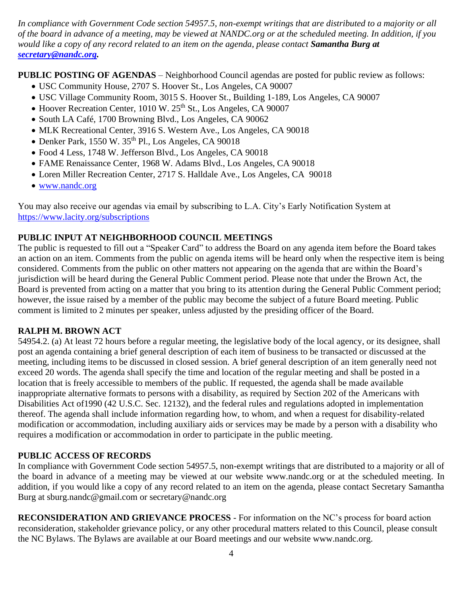*In compliance with Government Code section 54957.5, non-exempt writings that are distributed to a majority or all of the board in advance of a meeting, may be viewed at NANDC.org or at the scheduled meeting. In addition, if you would like a copy of any record related to an item on the agenda, please contact Samantha Burg at [secretary@nandc.org.](mailto:secretary@nandc.org)*

**PUBLIC POSTING OF AGENDAS** – Neighborhood Council agendas are posted for public review as follows:

- USC Community House, 2707 S. Hoover St., Los Angeles, CA 90007
- USC Village Community Room, 3015 S. Hoover St., Building 1-189, Los Angeles, CA 90007
- Hoover Recreation Center, 1010 W. 25<sup>th</sup> St., Los Angeles, CA 90007
- South LA Café, 1700 Browning Blvd., Los Angeles, CA 90062
- MLK Recreational Center, 3916 S. Western Ave., Los Angeles, CA 90018
- Denker Park,  $1550 \text{ W}$ .  $35^{\text{th}}$  Pl., Los Angeles, CA 90018
- Food 4 Less, 1748 W. Jefferson Blvd., Los Angeles, CA 90018
- FAME Renaissance Center, 1968 W. Adams Blvd., Los Angeles, CA 90018
- Loren Miller Recreation Center, 2717 S. Halldale Ave., Los Angeles, CA 90018
- [www.nandc.org](http://www.nandc.org/)

You may also receive our agendas via email by subscribing to L.A. City's Early Notification System at <https://www.lacity.org/subscriptions>

## **PUBLIC INPUT AT NEIGHBORHOOD COUNCIL MEETINGS**

The public is requested to fill out a "Speaker Card" to address the Board on any agenda item before the Board takes an action on an item. Comments from the public on agenda items will be heard only when the respective item is being considered. Comments from the public on other matters not appearing on the agenda that are within the Board's jurisdiction will be heard during the General Public Comment period. Please note that under the Brown Act, the Board is prevented from acting on a matter that you bring to its attention during the General Public Comment period; however, the issue raised by a member of the public may become the subject of a future Board meeting. Public comment is limited to 2 minutes per speaker, unless adjusted by the presiding officer of the Board.

## **RALPH M. BROWN ACT**

54954.2. (a) At least 72 hours before a regular meeting, the legislative body of the local agency, or its designee, shall post an agenda containing a brief general description of each item of business to be transacted or discussed at the meeting, including items to be discussed in closed session. A brief general description of an item generally need not exceed 20 words. The agenda shall specify the time and location of the regular meeting and shall be posted in a location that is freely accessible to members of the public. If requested, the agenda shall be made available inappropriate alternative formats to persons with a disability, as required by Section 202 of the Americans with Disabilities Act of1990 (42 U.S.C. Sec. 12132), and the federal rules and regulations adopted in implementation thereof. The agenda shall include information regarding how, to whom, and when a request for disability-related modification or accommodation, including auxiliary aids or services may be made by a person with a disability who requires a modification or accommodation in order to participate in the public meeting.

## **PUBLIC ACCESS OF RECORDS**

In compliance with Government Code section 54957.5, non-exempt writings that are distributed to a majority or all of the board in advance of a meeting may be viewed at our website www.nandc.org or at the scheduled meeting. In addition, if you would like a copy of any record related to an item on the agenda, please contact Secretary Samantha Burg at sburg.nandc@gmail.com or secretary@nandc.org

**RECONSIDERATION AND GRIEVANCE PROCESS** - For information on the NC's process for board action reconsideration, stakeholder grievance policy, or any other procedural matters related to this Council, please consult the NC Bylaws. The Bylaws are available at our Board meetings and our website www.nandc.org.